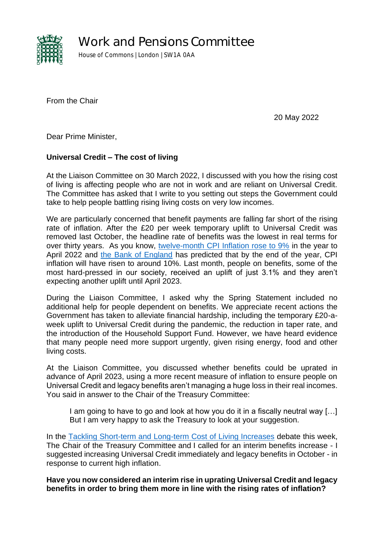

Work and Pensions Committee

House of Commons | London | SW1A 0AA

From the Chair

20 May 2022

Dear Prime Minister,

## **Universal Credit – The cost of living**

At the Liaison Committee on 30 March 2022, I discussed with you how the rising cost of living is affecting people who are not in work and are reliant on Universal Credit. The Committee has asked that I write to you setting out steps the Government could take to help people battling rising living costs on very low incomes.

We are particularly concerned that benefit payments are falling far short of the rising rate of inflation. After the £20 per week temporary uplift to Universal Credit was removed last October, the headline rate of benefits was the lowest in real terms for over thirty years. As you know, [twelve-month CPI Inflation rose to 9%](https://www.ons.gov.uk/economy/inflationandpriceindices/bulletins/consumerpriceinflation/april2022) in the year to April 2022 and [the Bank of England](https://www.bankofengland.co.uk/monetary-policy-summary-and-minutes/2022/may-2022) has predicted that by the end of the year, CPI inflation will have risen to around 10%. Last month, people on benefits, some of the most hard-pressed in our society, received an uplift of just 3.1% and they aren't expecting another uplift until April 2023.

During the Liaison Committee, I asked why the Spring Statement included no additional help for people dependent on benefits. We appreciate recent actions the Government has taken to alleviate financial hardship, including the temporary £20-aweek uplift to Universal Credit during the pandemic, the reduction in taper rate, and the introduction of the Household Support Fund. However, we have heard evidence that many people need more support urgently, given rising energy, food and other living costs.

At the Liaison Committee, you discussed whether benefits could be uprated in advance of April 2023, using a more recent measure of inflation to ensure people on Universal Credit and legacy benefits aren't managing a huge loss in their real incomes. You said in answer to the Chair of the Treasury Committee:

I am going to have to go and look at how you do it in a fiscally neutral way […] But I am very happy to ask the Treasury to look at your suggestion.

In the [Tackling Short-term and Long-term Cost of Living Increases](https://hansard.parliament.uk/commons/2022-05-17/debates/66D4E191-DD58-4477-B533-D90BC3348D06/TacklingShort-TermAndLong-TermCostOfLivingIncreases) debate this week, The Chair of the Treasury Committee and I called for an interim benefits increase - I suggested increasing Universal Credit immediately and legacy benefits in October - in response to current high inflation.

**Have you now considered an interim rise in uprating Universal Credit and legacy benefits in order to bring them more in line with the rising rates of inflation?**